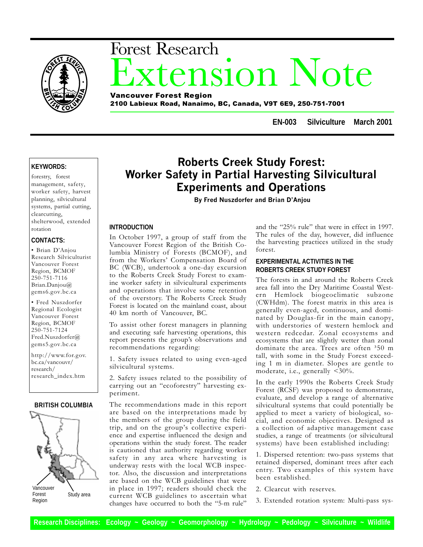

# xtension Note Forest Research Vancouver Forest Region

2100 Labieux Road, Nanaimo, BC, Canada, V9T 6E9, 250-751-7001

**EN-003 Silviculture March 2001**

# **KEYWORDS:**

forestry, forest management, safety, worker safety, harvest planning, silvicultural systems, partial cutting, clearcutting, shelterwood, extended rotation

# **CONTACTS:**

· Brian D'Anjou Research Silviculturist Vancouver Forest Region, BCMOF 250-751-7116 Brian.Danjou@ gems6.gov.bc.ca

 Fred Nuszdorfer Regional Ecologist Vancouver Forest Region, BCMOF 250-751-7124 Fred.Nuszdorfer@ gems5.gov.bc.ca

http://www.for.gov. bc.ca/vancouvr/ research/ research\_index.htm

#### **BRITISH COLUMBIA**



# Roberts Creek Study Forest: Worker Safety in Partial Harvesting Silvicultural Experiments and Operations

By Fred Nuszdorfer and Brian D'Anjou

### **INTRODUCTION**

In October 1997, a group of staff from the Vancouver Forest Region of the British Columbia Ministry of Forests (BCMOF), and from the Workers' Compensation Board of BC (WCB), undertook a one-day excursion to the Roberts Creek Study Forest to examine worker safety in silvicultural experiments and operations that involve some retention of the overstory. The Roberts Creek Study Forest is located on the mainland coast, about 40 km north of Vancouver, BC.

To assist other forest managers in planning and executing safe harvesting operations, this report presents the group's observations and recommendations regarding:

1. Safety issues related to using even-aged silvicultural systems.

2. Safety issues related to the possibility of carrying out an "ecoforestry" harvesting experiment.

The recommendations made in this report are based on the interpretations made by the members of the group during the field trip, and on the group's collective experience and expertise influenced the design and operations within the study forest. The reader is cautioned that authority regarding worker safety in any area where harvesting is underway rests with the local WCB inspector. Also, the discussion and interpretations are based on the WCB guidelines that were in place in 1997; readers should check the current WCB guidelines to ascertain what changes have occurred to both the "5-m rule"

and the "25% rule" that were in effect in 1997. The rules of the day, however, did influence the harvesting practices utilized in the study forest.

# **EXPERIMENTAL ACTIVITIES IN THE ROBERTS CREEK STUDY FOREST**

The forests in and around the Roberts Creek area fall into the Dry Maritime Coastal Western Hemlock biogeoclimatic subzone (CWHdm). The forest matrix in this area is generally even-aged, continuous, and dominated by Douglas-fir in the main canopy, with understories of western hemlock and western redcedar. Zonal ecosystems and ecosystems that are slightly wetter than zonal dominate the area. Trees are often <sup>3</sup>50 m tall, with some in the Study Forest exceeding 1 m in diameter. Slopes are gentle to moderate, i.e., generally  $\leq 30\%$ .

In the early 1990s the Roberts Creek Study Forest (RCSF) was proposed to demonstrate, evaluate, and develop a range of alternative silvicultural systems that could potentially be applied to meet a variety of biological, social, and economic objectives. Designed as a collection of adaptive management case studies, a range of treatments (or silvicultural systems) have been established including:

1. Dispersed retention: two-pass systems that retained dispersed, dominant trees after each entry. Two examples of this system have been established.

2. Clearcut with reserves.

3. Extended rotation system: Multi-pass sys-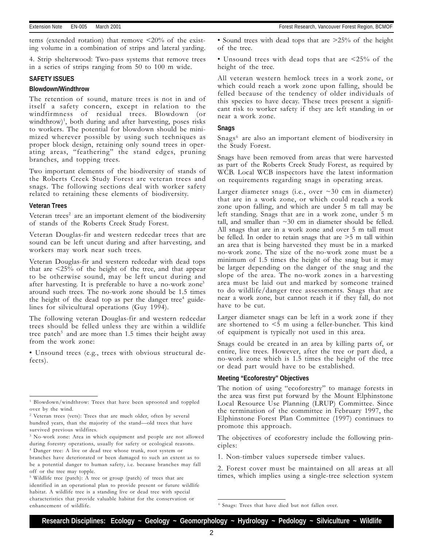tems (extended rotation) that remove  $\leq 20\%$  of the existing volume in a combination of strips and lateral yarding.

4. Strip shelterwood: Two-pass systems that remove trees in a series of strips ranging from 50 to 100 m wide.

#### **SAFETY ISSUES**

#### **Blowdown/Windthrow**

The retention of sound, mature trees is not in and of itself a safety concern, except in relation to the windfirmness of residual trees. Blowdown (or windthrow)1 , both during and after harvesting, poses risks to workers. The potential for blowdown should be minimized wherever possible by using such techniques as proper block design, retaining only sound trees in operating areas, "feathering" the stand edges, pruning branches, and topping trees.

Two important elements of the biodiversity of stands of the Roberts Creek Study Forest are veteran trees and snags. The following sections deal with worker safety related to retaining these elements of biodiversity.

#### **Veteran Trees**

Veteran trees<sup>2</sup> are an important element of the biodiversity of stands of the Roberts Creek Study Forest.

Veteran Douglas-fir and western redcedar trees that are sound can be left uncut during and after harvesting, and workers may work near such trees.

Veteran Douglas-fir and western redcedar with dead tops that are <25% of the height of the tree, and that appear to be otherwise sound, may be left uncut during and after harvesting. It is preferable to have a no-work zone<sup>3</sup> around such trees. The no-work zone should be 1.5 times the height of the dead top as per the danger tree<sup>4</sup> guidelines for silvicultural operations (Guy 1994).

The following veteran Douglas-fir and western redcedar trees should be felled unless they are within a wildlife tree patch<sup>5</sup> and are more than 1.5 times their height away from the work zone:

 Unsound trees (e.g., trees with obvious structural defects).

• Sound trees with dead tops that are  $>25\%$  of the height of the tree.

 Unsound trees with dead tops that are <25% of the height of the tree.

All veteran western hemlock trees in a work zone, or which could reach a work zone upon falling, should be felled because of the tendency of older individuals of this species to have decay. These trees present a significant risk to worker safety if they are left standing in or near a work zone.

#### **Snags**

Snags<sup>6</sup> are also an important element of biodiversity in the Study Forest.

Snags have been removed from areas that were harvested as part of the Roberts Creek Study Forest, as required by WCB. Local WCB inspectors have the latest information on requirements regarding snags in operating areas.

Larger diameter snags (i.e., over  $\sim$  30 cm in diameter) that are in a work zone, or which could reach a work zone upon falling, and which are under 5 m tall may be left standing. Snags that are in a work zone, under 5 m tall, and smaller than  $\sim$ 30 cm in diameter should be felled. All snags that are in a work zone and over 5 m tall must be felled. In order to retain snags that are >5 m tall within an area that is being harvested they must be in a marked no-work zone. The size of the no-work zone must be a minimum of 1.5 times the height of the snag but it may be larger depending on the danger of the snag and the slope of the area. The no-work zones in a harvesting area must be laid out and marked by someone trained to do wildlife/danger tree assessments. Snags that are near a work zone, but cannot reach it if they fall, do not have to be cut.

Larger diameter snags can be left in a work zone if they are shortened to <5 m using a feller-buncher. This kind of equipment is typically not used in this area.

Snags could be created in an area by killing parts of, or entire, live trees. However, after the tree or part died, a no-work zone which is 1.5 times the height of the tree or dead part would have to be established.

#### **Meeting "Ecoforestry" Objectives**

The notion of using "ecoforestry" to manage forests in the area was first put forward by the Mount Elphinstone Local Resource Use Planning (LRUP) Committee. Since the termination of the committee in February 1997, the Elphinstone Forest Plan Committee (1997) continues to promote this approach.

The objectives of ecoforestry include the following principles:

1. Non-timber values supersede timber values.

2. Forest cover must be maintained on all areas at all times, which implies using a single-tree selection system

<sup>&</sup>lt;sup>1</sup> Blowdown/windthrow: Trees that have been uprooted and toppled over by the wind.

<sup>&</sup>lt;sup>2</sup> Veteran trees (vets): Trees that are much older, often by several hundred years, than the majority of the stand-old trees that have survived previous wildfires.

<sup>&</sup>lt;sup>3</sup> No-work zone: Area in which equipment and people are not allowed during forestry operations, usually for safety or ecological reasons. 4 Danger tree: A live or dead tree whose trunk, root system or branches have deteriorated or been damaged to such an extent as to be a potential danger to human safety, i.e. because branches may fall off or the tree may topple.

<sup>5</sup> Wildlife tree (patch): A tree or group (patch) of trees that are identified in an operational plan to provide present or future wildlife habitat. A wildlife tree is a standing live or dead tree with special characteristics that provide valuable habitat for the conservation or enhancement of wildlife.

<sup>&</sup>lt;sup>6</sup> Snags: Trees that have died but not fallen over.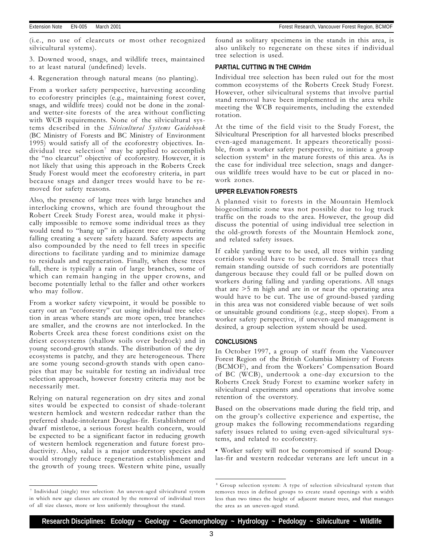(i.e., no use of clearcuts or most other recognized silvicultural systems).

3. Downed wood, snags, and wildlife trees, maintained to at least natural (undefined) levels.

4. Regeneration through natural means (no planting).

From a worker safety perspective, harvesting according to ecoforestry principles (e.g., maintaining forest cover, snags, and wildlife trees) could not be done in the zonaland wetter-site forests of the area without conflicting with WCB requirements. None of the silvicultural systems described in the Silvicultural Systems Guidebook (BC Ministry of Forests and BC Ministry of Environment 1995) would satisfy all of the ecoforestry objectives. Individual tree selection<sup>7</sup> may be applied to accomplish the "no clearcut" objective of ecoforestry. However, it is not likely that using this approach in the Roberts Creek Study Forest would meet the ecoforestry criteria, in part because snags and danger trees would have to be removed for safety reasons.

Also, the presence of large trees with large branches and interlocking crowns, which are found throughout the Robert Creek Study Forest area, would make it physically impossible to remove some individual trees as they would tend to "hang up" in adjacent tree crowns during falling creating a severe safety hazard. Safety aspects are also compounded by the need to fell trees in specific directions to facilitate yarding and to minimize damage to residuals and regeneration. Finally, when these trees fall, there is typically a rain of large branches, some of which can remain hanging in the upper crowns, and become potentially lethal to the faller and other workers who may follow.

From a worker safety viewpoint, it would be possible to carry out an "ecoforestry" cut using individual tree selection in areas where stands are more open, tree branches are smaller, and the crowns are not interlocked. In the Roberts Creek area these forest conditions exist on the driest ecosystems (shallow soils over bedrock) and in young second-growth stands. The distribution of the dry ecosystems is patchy, and they are heterogeneous. There are some young second-growth stands with open canopies that may be suitable for testing an individual tree selection approach, however forestry criteria may not be necessarily met.

Relying on natural regeneration on dry sites and zonal sites would be expected to consist of shade-tolerant western hemlock and western redcedar rather than the preferred shade-intolerant Douglas-fir. Establishment of dwarf mistletoe, a serious forest health concern, would be expected to be a significant factor in reducing growth of western hemlock regeneration and future forest productivity. Also, salal is a major understory species and would strongly reduce regeneration establishment and the growth of young trees. Western white pine, usually

7 Individual (single) tree selection: An uneven-aged silvicultural system in which new age classes are created by the removal of individual trees of all size classes, more or less uniformly throughout the stand.

found as solitary specimens in the stands in this area, is also unlikely to regenerate on these sites if individual tree selection is used.

#### **PARTIAL CUTTING IN THE CWHdm**

Individual tree selection has been ruled out for the most common ecosystems of the Roberts Creek Study Forest. However, other silvicultural systems that involve partial stand removal have been implemented in the area while meeting the WCB requirements, including the extended rotation.

At the time of the field visit to the Study Forest, the Silvicultural Prescription for all harvested blocks prescribed even-aged management. It appears theoretically possible, from a worker safety perspective, to initiate a group selection system $8$  in the mature forests of this area. As is the case for individual tree selection, snags and dangerous wildlife trees would have to be cut or placed in nowork zones.

#### **UPPER ELEVATION FORESTS**

A planned visit to forests in the Mountain Hemlock biogeoclimatic zone was not possible due to log truck traffic on the roads to the area. However, the group did discuss the potential of using individual tree selection in the old-growth forests of the Mountain Hemlock zone, and related safety issues.

If cable yarding were to be used, all trees within yarding corridors would have to be removed. Small trees that remain standing outside of such corridors are potentially dangerous because they could fall or be pulled down on workers during falling and yarding operations. All snags that are >5 m high and are in or near the operating area would have to be cut. The use of ground-based yarding in this area was not considered viable because of wet soils or unsuitable ground conditions (e.g., steep slopes). From a worker safety perspective, if uneven-aged management is desired, a group selection system should be used.

## **CONCLUSIONS**

In October 1997, a group of staff from the Vancouver Forest Region of the British Columbia Ministry of Forests (BCMOF), and from the Workers' Compensation Board of BC (WCB), undertook a one-day excursion to the Roberts Creek Study Forest to examine worker safety in silvicultural experiments and operations that involve some retention of the overstory.

Based on the observations made during the field trip, and on the group's collective experience and expertise, the group makes the following recommendations regarding safety issues related to using even-aged silvicultural systems, and related to ecoforestry.

 Worker safety will not be compromised if sound Douglas-fir and western redcedar veterans are left uncut in a

<sup>&</sup>lt;sup>8</sup> Group selection system: A type of selection silvicultural system that removes trees in defined groups to create stand openings with a width less than two times the height of adjacent mature trees, and that manages the area as an uneven-aged stand.